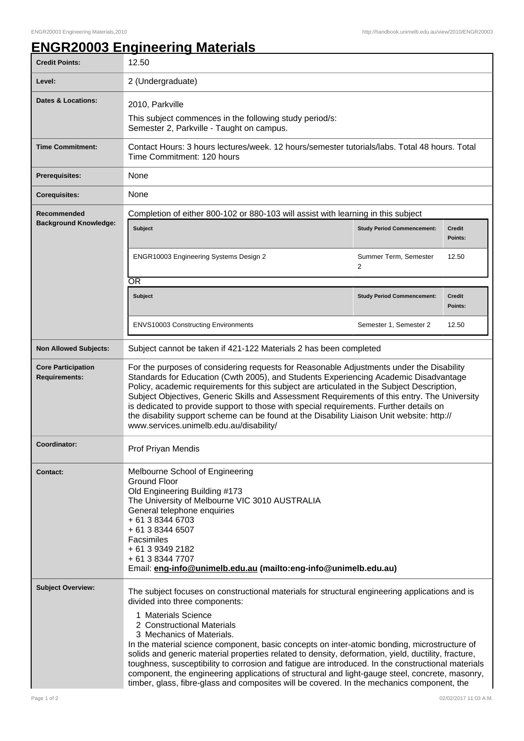## **ENGR20003 Engineering Materials**

| <b>Credit Points:</b>                             | 12.50                                                                                                                                                                                                                                                                                                                                                                                                                                                                                                                                                                                                                                                                                                                            |                                   |                          |  |
|---------------------------------------------------|----------------------------------------------------------------------------------------------------------------------------------------------------------------------------------------------------------------------------------------------------------------------------------------------------------------------------------------------------------------------------------------------------------------------------------------------------------------------------------------------------------------------------------------------------------------------------------------------------------------------------------------------------------------------------------------------------------------------------------|-----------------------------------|--------------------------|--|
| Level:                                            | 2 (Undergraduate)                                                                                                                                                                                                                                                                                                                                                                                                                                                                                                                                                                                                                                                                                                                |                                   |                          |  |
| <b>Dates &amp; Locations:</b>                     | 2010, Parkville<br>This subject commences in the following study period/s:<br>Semester 2, Parkville - Taught on campus.                                                                                                                                                                                                                                                                                                                                                                                                                                                                                                                                                                                                          |                                   |                          |  |
| <b>Time Commitment:</b>                           | Contact Hours: 3 hours lectures/week. 12 hours/semester tutorials/labs. Total 48 hours. Total<br>Time Commitment: 120 hours                                                                                                                                                                                                                                                                                                                                                                                                                                                                                                                                                                                                      |                                   |                          |  |
| <b>Prerequisites:</b>                             | None                                                                                                                                                                                                                                                                                                                                                                                                                                                                                                                                                                                                                                                                                                                             |                                   |                          |  |
| <b>Corequisites:</b>                              | None                                                                                                                                                                                                                                                                                                                                                                                                                                                                                                                                                                                                                                                                                                                             |                                   |                          |  |
| Recommended<br><b>Background Knowledge:</b>       | Completion of either 800-102 or 880-103 will assist with learning in this subject                                                                                                                                                                                                                                                                                                                                                                                                                                                                                                                                                                                                                                                |                                   |                          |  |
|                                                   | <b>Subject</b>                                                                                                                                                                                                                                                                                                                                                                                                                                                                                                                                                                                                                                                                                                                   | <b>Study Period Commencement:</b> | <b>Credit</b><br>Points: |  |
|                                                   | ENGR10003 Engineering Systems Design 2                                                                                                                                                                                                                                                                                                                                                                                                                                                                                                                                                                                                                                                                                           | Summer Term, Semester<br>2        | 12.50                    |  |
|                                                   | ŌR                                                                                                                                                                                                                                                                                                                                                                                                                                                                                                                                                                                                                                                                                                                               |                                   |                          |  |
|                                                   | <b>Subject</b>                                                                                                                                                                                                                                                                                                                                                                                                                                                                                                                                                                                                                                                                                                                   | <b>Study Period Commencement:</b> | <b>Credit</b><br>Points: |  |
|                                                   | <b>ENVS10003 Constructing Environments</b>                                                                                                                                                                                                                                                                                                                                                                                                                                                                                                                                                                                                                                                                                       | Semester 1, Semester 2            | 12.50                    |  |
| <b>Non Allowed Subjects:</b>                      | Subject cannot be taken if 421-122 Materials 2 has been completed                                                                                                                                                                                                                                                                                                                                                                                                                                                                                                                                                                                                                                                                |                                   |                          |  |
| <b>Core Participation</b><br><b>Requirements:</b> | For the purposes of considering requests for Reasonable Adjustments under the Disability<br>Standards for Education (Cwth 2005), and Students Experiencing Academic Disadvantage<br>Policy, academic requirements for this subject are articulated in the Subject Description,<br>Subject Objectives, Generic Skills and Assessment Requirements of this entry. The University<br>is dedicated to provide support to those with special requirements. Further details on<br>the disability support scheme can be found at the Disability Liaison Unit website: http://<br>www.services.unimelb.edu.au/disability/                                                                                                                |                                   |                          |  |
| Coordinator:                                      | Prof Priyan Mendis                                                                                                                                                                                                                                                                                                                                                                                                                                                                                                                                                                                                                                                                                                               |                                   |                          |  |
| <b>Contact:</b>                                   | Melbourne School of Engineering<br><b>Ground Floor</b><br>Old Engineering Building #173<br>The University of Melbourne VIC 3010 AUSTRALIA<br>General telephone enquiries<br>+ 61 3 8344 6703<br>+ 61 3 8344 6507<br>Facsimiles<br>+ 61 3 9349 2182<br>+ 61 3 8344 7707<br>Email: eng-info@unimelb.edu.au (mailto:eng-info@unimelb.edu.au)                                                                                                                                                                                                                                                                                                                                                                                        |                                   |                          |  |
| <b>Subject Overview:</b>                          | The subject focuses on constructional materials for structural engineering applications and is<br>divided into three components:<br>1 Materials Science<br>2 Constructional Materials<br>3 Mechanics of Materials.<br>In the material science component, basic concepts on inter-atomic bonding, microstructure of<br>solids and generic material properties related to density, deformation, yield, ductility, fracture,<br>toughness, susceptibility to corrosion and fatigue are introduced. In the constructional materials<br>component, the engineering applications of structural and light-gauge steel, concrete, masonry,<br>timber, glass, fibre-glass and composites will be covered. In the mechanics component, the |                                   |                          |  |